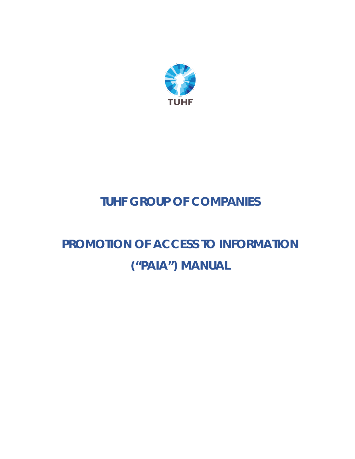

## **TUHF GROUP OF COMPANIES**

# **PROMOTION OF ACCESS TO INFORMATION ("PAIA") MANUAL**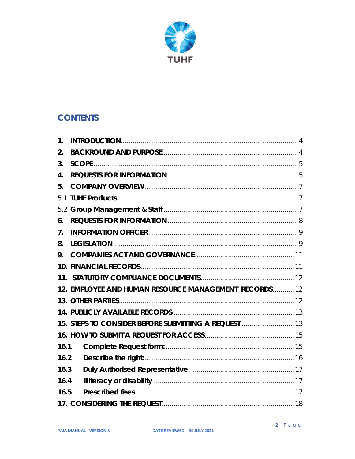

## **CONTENTS**

| 1 <sub>1</sub> |                                                       |
|----------------|-------------------------------------------------------|
| 2.             |                                                       |
| 3.             |                                                       |
| 4.             |                                                       |
| 5.             |                                                       |
|                |                                                       |
|                |                                                       |
| 6.             |                                                       |
| 7.             |                                                       |
| 8.             |                                                       |
| 9.             |                                                       |
|                |                                                       |
|                |                                                       |
|                | 12. EMPLOYEE AND HUMAN RESOURCE MANAGEMENT RECORDS 12 |
|                |                                                       |
|                |                                                       |
|                | 15. STEPS TO CONSIDER BEFORE SUBMITTING A REQUEST  13 |
|                |                                                       |
| 16.1           |                                                       |
| 16.2           |                                                       |
| 16.3           |                                                       |
| 16.4           |                                                       |
| 16.5           |                                                       |
|                |                                                       |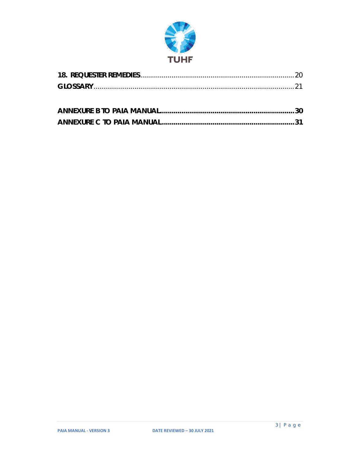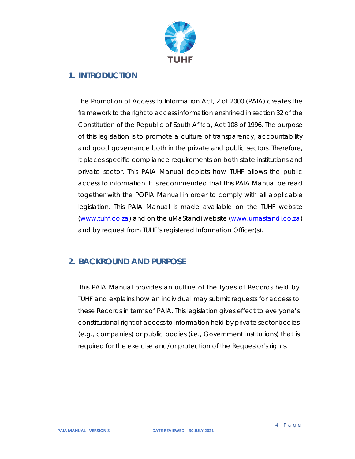

## <span id="page-3-0"></span>**1. INTRODUCTION**

The Promotion of Access to Information Act, 2 of 2000 (PAIA) creates the framework to the right to access information enshrined in section 32 of the Constitution of the Republic of South Africa, Act 108 of 1996. The purpose of this legislation is to promote a culture of transparency, accountability and good governance both in the private and public sectors. Therefore, it places specific compliance requirements on both state institutions and private sector. This PAIA Manual depicts how TUHF allows the public access to information. It is recommended that this PAIA Manual be read together with the POPIA Manual in order to comply with all applicable legislation. This PAIA Manual is made available on the TUHF website [\(www.tuhf.co.za\)](http://www.tuhf.co.za/) and on the uMaStandi website [\(www.umastandi.co.za\)](http://www.umastandi.co.za/) and by request from TUHF's registered Information Officer(s).

## <span id="page-3-1"></span>**2. BACKROUND AND PURPOSE**

This PAIA Manual provides an outline of the types of Records held by TUHF and explains how an individual may submit requests for access to these Records in terms of PAIA. This legislation gives effect to everyone's constitutional right of access to information held by private sector bodies (e.g., companies) or public bodies (i.e., Government institutions) that is required for the exercise and/or protection of the Requestor's rights.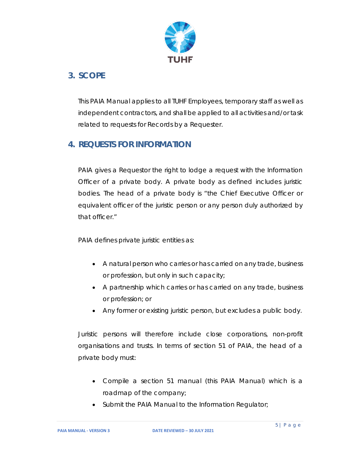

## <span id="page-4-0"></span>**3. SCOPE**

This PAIA Manual applies to all TUHF Employees, temporary staff as well as independent contractors, and shall be applied to all activities and/or task related to requests for Records by a Requester.

## <span id="page-4-1"></span>**4. REQUESTS FOR INFORMATION**

PAIA gives a Requestor the right to lodge a request with the Information Officer of a private body. A private body as defined includes juristic bodies. The head of a private body is "the Chief Executive Officer or equivalent officer of the juristic person or any person duly authorized by that officer."

PAIA defines private juristic entities as:

- A natural person who carries or has carried on any trade, business or profession, but only in such capacity;
- A partnership which carries or has carried on any trade, business or profession; or
- Any former or existing juristic person, but excludes a public body.

Juristic persons will therefore include close corporations, non-profit organisations and trusts. In terms of section 51 of PAIA, the head of a private body must:

- Compile a [section 51 manual \(this PAIA Manual\) w](http://www.sahrc.org.za/home/21/files/Useful%20pointers%20to%20compiling%20a%20section%2051%20guide.pdf)hich is a roadmap of the company;
- Submit the PAIA Manual to the Information Regulator;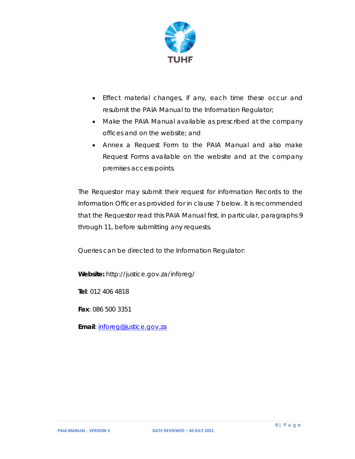

- Effect material changes, if any, each time these occur and resubmit the PAIA Manual to the Information Regulator;
- Make the PAIA Manual available as prescribed at the company offices and on the website; and
- Annex a Request Form to the PAIA Manual and also make Request Forms available on the website and at the company premises access points.

The Requestor may submit their request for information Records to the Information Officer as provided for in clause 7 below. It is recommended that the Requestor read this PAIA Manual first, in particular, paragraphs 9 through 11, before submitting any requests.

Queries can be directed to the Information Regulator:

**Website:** http://justice.gov.za/inforeg/

**Tel**: 012 406 4818

**Fax**: 086 500 3351

**Email**: [inforeg@justice.gov.za](mailto:inforeg@justice.gov.za)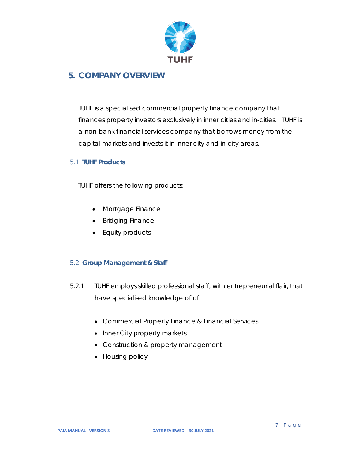

### <span id="page-6-0"></span>**5. COMPANY OVERVIEW**

TUHF is a specialised commercial property finance company that finances property investors exclusively in inner cities and in-cities. TUHF is a non-bank financial services company that borrows money from the capital markets and invests it in inner city and in-city areas.

#### <span id="page-6-1"></span>5.1 **TUHF Products**

TUHF offers the following products;

- Mortgage Finance
- Bridging Finance
- Equity products

#### <span id="page-6-2"></span>5.2 **Group Management & Staff**

- 5.2.1 TUHF employs skilled professional staff, with entrepreneurial flair, that have specialised knowledge of of:
	- Commercial Property Finance & Financial Services
	- Inner City property markets
	- Construction & property management
	- Housing policy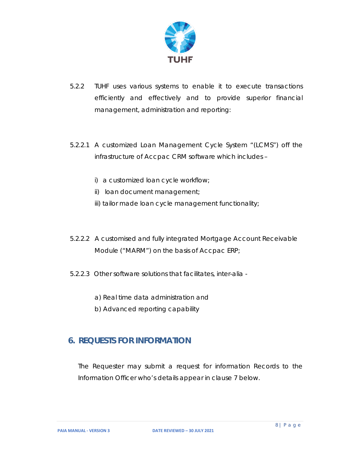

- 5.2.2 TUHF uses various systems to enable it to execute transactions efficiently and effectively and to provide superior financial management, administration and reporting:
- 5.2.2.1 A customized Loan Management Cycle System "(LCMS") off the infrastructure of Accpac CRM software which includes –
	- i) a customized loan cycle workflow;
	- ii) loan document management;
	- iii) tailor made loan cycle management functionality;
- 5.2.2.2 A customised and fully integrated Mortgage Account Receivable Module ("MARM") on the basis of Accpac ERP;
- 5.2.2.3 Other software solutions that facilitates, inter-alia
	- a) Real time data administration and
	- b) Advanced reporting capability

## <span id="page-7-0"></span>**6. REQUESTS FOR INFORMATION**

The Requester may submit a request for information Records to the Information Officer who's details appear in clause 7 below.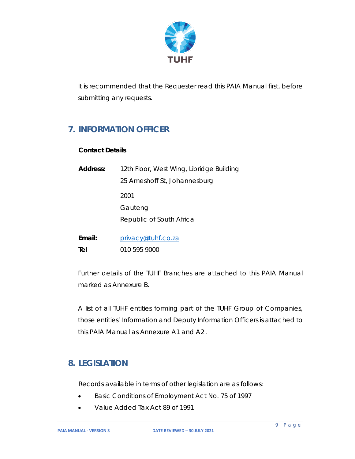

*It is recommended that the Requester read this PAIA Manual first, before submitting any requests.* 

## <span id="page-8-0"></span>**7. INFORMATION OFFICER**

#### **Contact Details**

| <b>Address:</b> | 12th Floor, West Wing, Libridge Building |
|-----------------|------------------------------------------|
|                 | 25 Ameshoff St, Johannesburg             |
|                 | 2001                                     |
|                 | Gauteng                                  |
|                 | Republic of South Africa                 |
| Email:          | privacy@tuhf.co.za                       |
| Tel             | 010 595 9000                             |

Further details of the TUHF Branches are attached to this PAIA Manual marked as Annexure B.

A list of all TUHF entities forming part of the TUHF Group of Companies, those entities' Information and Deputy Information Officers is attached to this PAIA Manual as Annexure A1 and A2 .

#### <span id="page-8-1"></span>**8. LEGISLATION**

Records available in terms of other legislation are as follows:

- Basic Conditions of Employment Act No. 75 of 1997
- Value Added Tax Act 89 of 1991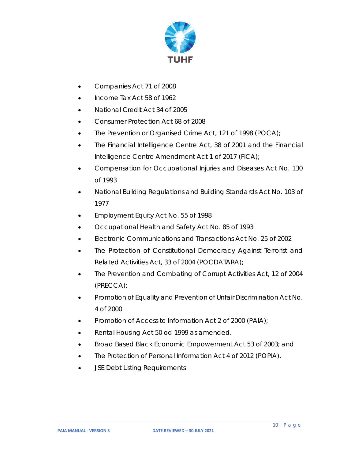

- Companies Act 71 of 2008
- Income Tax Act 58 of 1962
- National Credit Act 34 of 2005
- Consumer Protection Act 68 of 2008
- The Prevention or Organised Crime Act, 121 of 1998 (POCA);
- The Financial Intelligence Centre Act, 38 of 2001 and the Financial Intelligence Centre Amendment Act 1 of 2017 (FICA);
- Compensation for Occupational Injuries and Diseases Act No. 130 of 1993
- National Building Regulations and Building Standards Act No. 103 of 1977
- Employment Equity Act No. 55 of 1998
- Occupational Health and Safety Act No. 85 of 1993
- Electronic Communications and Transactions Act No. 25 of 2002
- The Protection of Constitutional Democracy Against Terrorist and Related Activities Act, 33 of 2004 (POCDATARA);
- The Prevention and Combating of Corrupt Activities Act, 12 of 2004 (PRECCA);
- Promotion of Equality and Prevention of Unfair Discrimination Act No. 4 of 2000
- Promotion of Access to Information Act 2 of 2000 (PAIA);
- Rental Housing Act 50 od 1999 as amended.
- Broad Based Black Economic Empowerment Act 53 of 2003; and
- The Protection of Personal Information Act 4 of 2012 (POPIA).
- **JSE Debt Listing Requirements**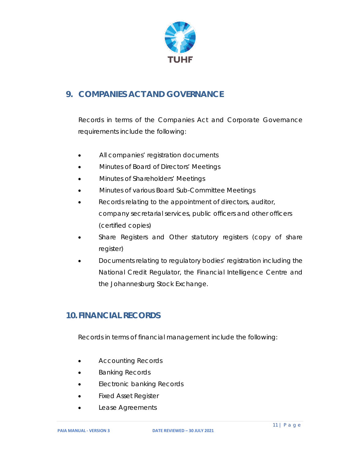

## <span id="page-10-0"></span>**9. COMPANIES ACT AND GOVERNANCE**

Records in terms of the Companies Act and Corporate Governance requirements include the following:

- All companies' registration documents
- Minutes of Board of Directors' Meetings
- Minutes of Shareholders' Meetings
- Minutes of various Board Sub-Committee Meetings
- Records relating to the appointment of directors, auditor, company secretarial services, public officers and other officers (certified copies)
- Share Registers and Other statutory registers (copy of share register)
- Documents relating to regulatory bodies' registration including the National Credit Regulator, the Financial Intelligence Centre and the Johannesburg Stock Exchange.

#### <span id="page-10-1"></span>**10. FINANCIAL RECORDS**

Records in terms of financial management include the following:

- Accounting Records
- Banking Records
- Electronic banking Records
- Fixed Asset Register
- Lease Agreements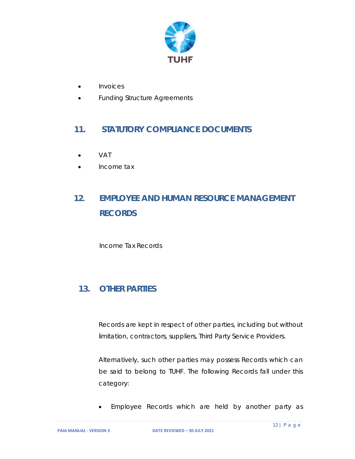

- Invoices
- Funding Structure Agreements

## <span id="page-11-0"></span>**11. STATUTORY COMPLIANCE DOCUMENTS**

- VAT
- Income tax

## <span id="page-11-1"></span>**12. EMPLOYEE AND HUMAN RESOURCE MANAGEMENT RECORDS**

Income Tax Records

## <span id="page-11-2"></span>**13. OTHER PARTIES**

Records are kept in respect of other parties, including but without limitation, contractors, suppliers, Third Party Service Providers.

Alternatively, such other parties may possess Records which can be said to belong to TUHF. The following Records fall under this category:

• Employee Records which are held by another party as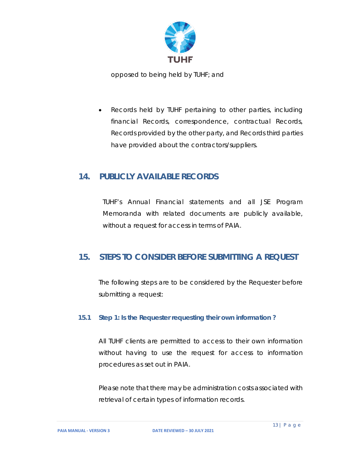

opposed to being held by TUHF; and

Records held by TUHF pertaining to other parties, including financial Records, correspondence, contractual Records, Records provided by the other party, and Records third parties have provided about the contractors/suppliers.

#### <span id="page-12-0"></span>**14. PUBLICLY AVAILABLE RECORDS**

TUHF's Annual Financial statements and all JSE Program Memoranda with related documents are publicly available, without a request for access in terms of PAIA.

## <span id="page-12-1"></span>**15. STEPS TO CONSIDER BEFORE SUBMITTING A REQUEST**

The following steps are to be considered by the Requester before submitting a request:

#### **15.1 Step 1: Is the Requester requesting their own information ?**

All TUHF clients are permitted to access to their own information without having to use the request for access to information procedures as set out in PAIA.

*Please note that there may be administration costs associated with retrieval of certain types of information records.*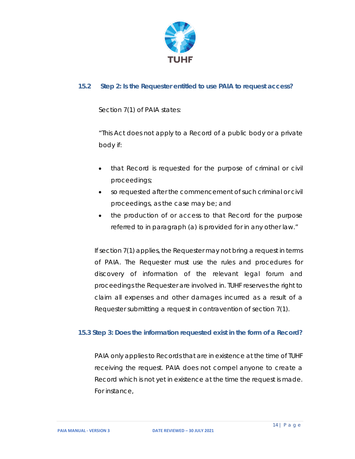

#### **15.2 Step 2: Is the Requester entitled to use PAIA to request access?**

Section 7(1) of PAIA states:

"This Act does not apply to a Record of a public body or a private body if:

- that Record is requested for the purpose of criminal or civil proceedings;
- so requested after the commencement of such criminal or civil proceedings, as the case may be; and
- the production of or access to that Record for the purpose referred to in paragraph (a) is provided for in any other law."

If section 7(1) applies, the Requester may not bring a request in terms of PAIA. The Requester must use the rules and procedures for discovery of information of the relevant legal forum and proceedings the Requester are involved in. TUHF reserves the right to claim all expenses and other damages incurred as a result of a Requester submitting a request in contravention of section 7(1).

#### **15.3 Step 3: Does the information requested exist in the form of a Record?**

PAIA only applies to Records that are in existence at the time of TUHF receiving the request. PAIA does not compel anyone to create a Record which is not yet in existence at the time the request is made. For instance,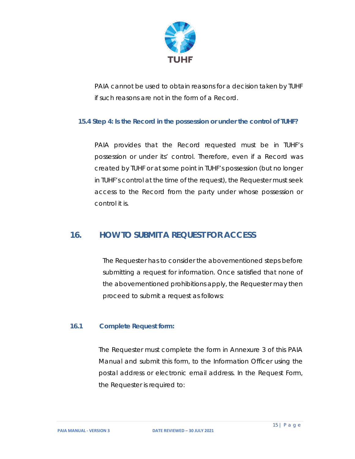

*PAIA cannot be used to obtain reasons for a decision taken by TUHF if such reasons are not in the form of a Record.* 

#### **15.4 Step 4: Is the Record in the possession or under the control of TUHF?**

PAIA provides that the Record requested must be in TUHF's possession or under its' control. Therefore, even if a Record was created by TUHF or at some point in TUHF's possession (but no longer in TUHF's control at the time of the request), the Requester must seek access to the Record from the party under whose possession or control it is.

## <span id="page-14-0"></span>**16. HOW TO SUBMIT A REQUEST FOR ACCESS**

The Requester has to consider the abovementioned steps before submitting a request for information. Once satisfied that none of the abovementioned prohibitions apply, the Requester may then proceed to submit a request as follows:

#### <span id="page-14-1"></span>**16.1 Complete Request form:**

The Requester must complete the form in Annexure 3 of this PAIA Manual and submit this form, to the Information Officer using the postal address or electronic email address. In the Request Form, the Requester is required to: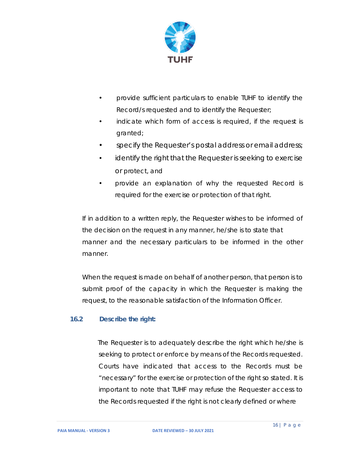

- provide sufficient particulars to enable TUHF to identify the Record/s requested and to identify the Requester;
- indicate which form of access is required, if the request is granted;
- specify the Requester's postal address or email address;
- identify the right that the Requester is seeking to exercise or protect, and
- provide an explanation of why the requested Record is required for the exercise or protection of that right.

If in addition to a written reply, the Requester wishes to be informed of the decision on the request in any manner, he/she is to state that manner and the necessary particulars to be informed in the other manner.

When the request is made on behalf of another person, that person is to submit proof of the capacity in which the Requester is making the request, to the reasonable satisfaction of the Information Officer.

#### <span id="page-15-0"></span>**16.2 Describe the right:**

 The Requester is to adequately describe the right which he/she is seeking to protect or enforce by means of the Records requested. Courts have indicated that access to the Records must be "necessary" for the exercise or protection of the right so stated. It is important to note that TUHF may refuse the Requester access to the Records requested if the right is not clearly defined or where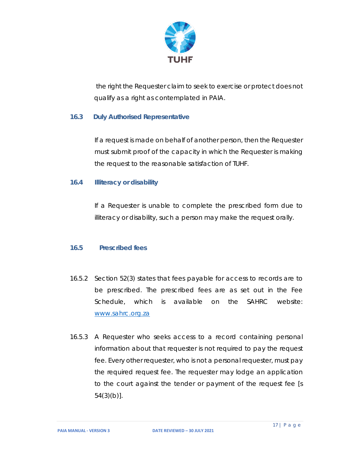

the right the Requester claim to seek to exercise or protect does not qualify as a right as contemplated in PAIA.

#### <span id="page-16-0"></span>**16.3 Duly Authorised Representative**

If a request is made on behalf of another person, then the Requester must submit proof of the capacity in which the Requester is making the request to the reasonable satisfaction of TUHF.

#### <span id="page-16-1"></span>**16.4 Illiteracy or disability**

If a Requester is unable to complete the prescribed form due to illiteracy or disability, such a person may make the request orally.

#### <span id="page-16-2"></span>**16.5 Prescribed fees**

- 16.5.2 Section 52(3) states that fees payable for access to records are to be prescribed. The prescribed fees are as set out in the Fee Schedule, which is available on the SAHRC website: *[www.sahrc.org.za](http://www.sahrc.org.za/)*
- 16.5.3 A Requester who seeks access to a record containing personal information about that requester is not required to pay the request fee. Every other requester, who is not a personal requester, must pay the required request fee. The requester may lodge an application to the court against the tender or payment of the request fee [s 54(3)(b)].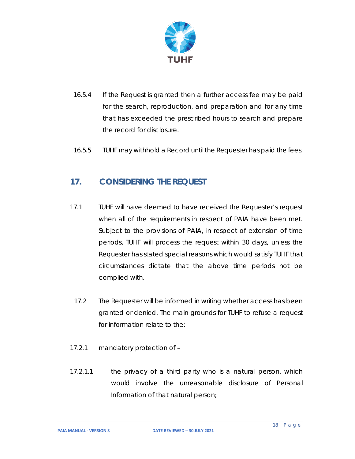

- 16.5.4 If the Request is granted then a further access fee may be paid for the search, reproduction, and preparation and for any time that has exceeded the prescribed hours to search and prepare the record for disclosure.
- 16.5.5 TUHF may withhold a Record until the Requester has paid the fees.

## <span id="page-17-0"></span>**17. CONSIDERING THE REQUEST**

- 17.1 TUHF will have deemed to have received the Requester's request when all of the requirements in respect of PAIA have been met. Subject to the provisions of PAIA, in respect of extension of time periods, TUHF will process the request within 30 days, unless the Requester has stated special reasons which would satisfy TUHF that circumstances dictate that the above time periods not be complied with.
	- 17.2 The Requester will be informed in writing whether access has been granted or denied. The main grounds for TUHF to refuse a request for information relate to the:
- 17.2.1 mandatory protection of –
- 17.2.1.1 the privacy of a third party who is a natural person, which would involve the unreasonable disclosure of Personal Information of that natural person;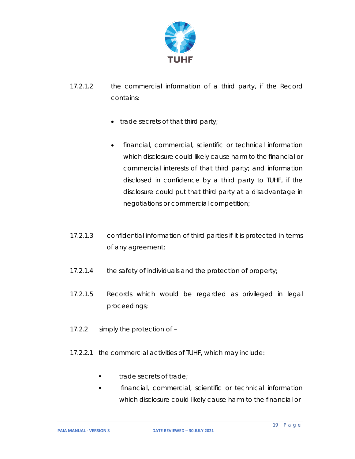

- 17.2.1.2 the commercial information of a third party, if the Record contains:
	- trade secrets of that third party;
	- financial, commercial, scientific or technical information which disclosure could likely cause harm to the financial or commercial interests of that third party; and information disclosed in confidence by a third party to TUHF, if the disclosure could put that third party at a disadvantage in negotiations or commercial competition;
- 17.2.1.3 confidential information of third parties if it is protected in terms of any agreement;
- 17.2.1.4 the safety of individuals and the protection of property;
- 17.2.1.5 Records which would be regarded as privileged in legal proceedings;
- 17.2.2 simply the protection of –
- 17.2.2.1 the commercial activities of TUHF, which may include:
	- trade secrets of trade;
	- financial, commercial, scientific or technical information which disclosure could likely cause harm to the financial or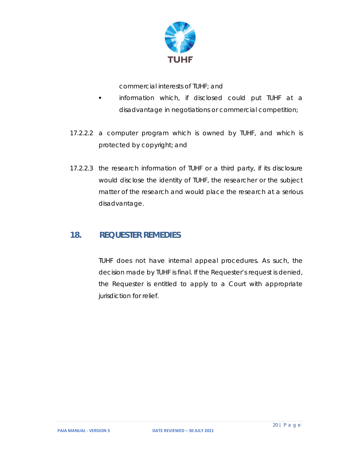

commercial interests of TUHF; and

- **Information which, if disclosed could put TUHF at a** disadvantage in negotiations or commercial competition;
- 17.2.2.2 a computer program which is owned by TUHF, and which is protected by copyright; and
- 17.2.2.3 the research information of TUHF or a third party, if its disclosure would disclose the identity of TUHF, the researcher or the subject matter of the research and would place the research at a serious disadvantage.

#### <span id="page-19-0"></span>**18. REQUESTER REMEDIES**

TUHF does not have internal appeal procedures. As such, the decision made by TUHF is final. If the Requester's request is denied, the Requester is entitled to apply to a Court with appropriate jurisdiction for relief.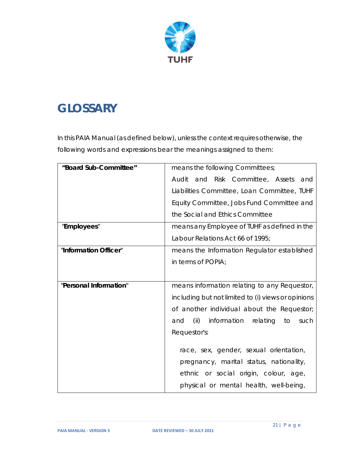

## <span id="page-20-0"></span>**GLOSSARY**

In this PAIA Manual (as defined below), unless the context requires otherwise, the following words and expressions bear the meanings assigned to them:

| "Board Sub-Committee"  | means the following Committees;                    |  |
|------------------------|----------------------------------------------------|--|
|                        | and Risk Committee, Assets<br>Audit<br>and         |  |
|                        | Liabilities Committee, Loan Committee, TUHF        |  |
|                        | Equity Committee, Jobs Fund Committee and          |  |
|                        | the Social and Ethics Committee                    |  |
| "Employees"            | means any Employee of TUHF as defined in the       |  |
|                        | Labour Relations Act 66 of 1995;                   |  |
| "Information Officer"  | means the Information Regulator established        |  |
|                        | in terms of POPIA;                                 |  |
|                        |                                                    |  |
| "Personal Information" | means information relating to any Requestor,       |  |
|                        | including but not limited to (i) views or opinions |  |
|                        | of another individual about the Requestor;         |  |
|                        | (ii)<br>information relating to<br>and<br>such     |  |
|                        | Requestor's:                                       |  |
|                        |                                                    |  |
|                        | race, sex, gender, sexual orientation,             |  |
|                        | pregnancy, marital status, nationality,            |  |
|                        | ethnic or social origin, colour, age,              |  |
|                        | physical or mental health, well-being,             |  |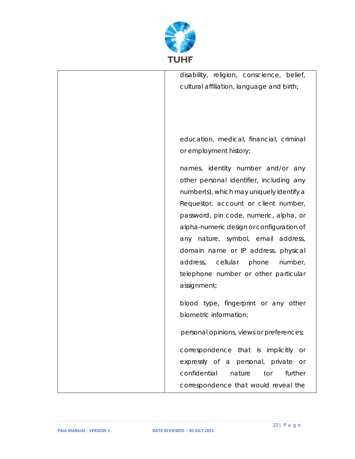

disability, religion, conscience, belief, cultural affiliation, language and birth; education, medical, financial, criminal or employment history; names, identity number and/or any other personal identifier, including any number(s), which may uniquely identify a Requestor, account or client number, password, pin code, numeric, alpha, or alpha-numeric design or configuration of any nature, symbol, email address, domain name or IP address, physical address, cellular phone number, telephone number or other particular assignment; blood type, fingerprint or any other biometric information; personal opinions, views or preferences; correspondence that is implicitly or expressly of a personal, private or confidential nature (or further correspondence that would reveal the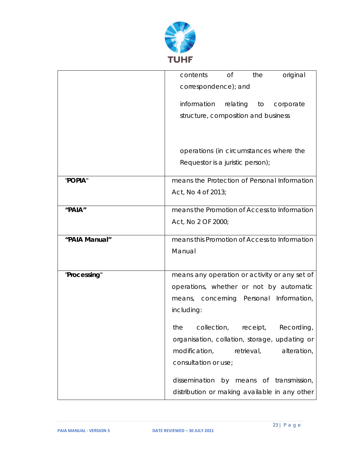

|               | contents<br><b>of</b><br>original<br>the      |
|---------------|-----------------------------------------------|
|               | correspondence); and                          |
|               |                                               |
|               | information<br>relating<br>corporate<br>to    |
|               | structure, composition and business           |
|               |                                               |
|               |                                               |
|               | operations (in circumstances where the        |
|               | Requestor is a juristic person);              |
|               |                                               |
| "POPIA"       | means the Protection of Personal Information  |
|               | Act, No 4 of 2013;                            |
| "PAIA"        | means the Promotion of Access to Information  |
|               | Act, No 2 OF 2000;                            |
|               |                                               |
| "PAIA Manual" | means this Promotion of Access to Information |
|               | Manual                                        |
|               |                                               |
| "Processing"  | means any operation or activity or any set of |
|               | operations, whether or not by automatic       |
|               | means, concerning Personal Information,       |
|               | including:                                    |
|               |                                               |
|               | the collection, receipt, Recording,           |
|               | organisation, collation, storage, updating or |
|               | modification,<br>retrieval,<br>alteration,    |
|               | consultation or use;                          |
|               |                                               |
|               | dissemination by means of transmission,       |
|               | distribution or making available in any other |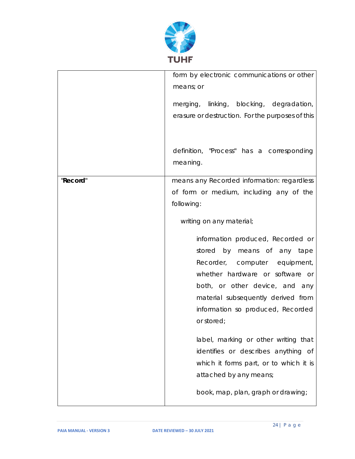

|          | form by electronic communications or other                                                      |  |
|----------|-------------------------------------------------------------------------------------------------|--|
|          | means; or                                                                                       |  |
|          | linking, blocking, degradation,<br>merging,<br>erasure or destruction. For the purposes of this |  |
|          | definition, "Process" has a corresponding<br>meaning.                                           |  |
| "Record" | means any Recorded information: regardless                                                      |  |
|          | of form or medium, including any of the                                                         |  |
|          | following:                                                                                      |  |
|          | writing on any material;                                                                        |  |
|          | information produced, Recorded or                                                               |  |
|          | by means of any tape<br>stored                                                                  |  |
|          | Recorder, computer equipment,                                                                   |  |
|          | whether hardware or software or                                                                 |  |
|          | both, or other device, and any                                                                  |  |
|          | material subsequently derived from                                                              |  |
|          | information so produced, Recorded                                                               |  |
|          | or stored;                                                                                      |  |
|          | label, marking or other writing that                                                            |  |
|          | identifies or describes anything of                                                             |  |
|          | which it forms part, or to which it is                                                          |  |
|          | attached by any means;                                                                          |  |
|          | book, map, plan, graph or drawing;                                                              |  |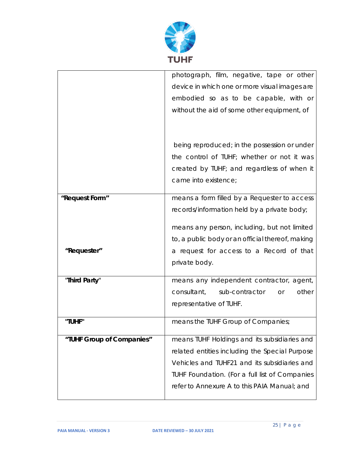

|                           | photograph, film, negative, tape or other           |
|---------------------------|-----------------------------------------------------|
|                           | device in which one or more visual images are       |
|                           | embodied so as to be capable, with or               |
|                           | without the aid of some other equipment, of         |
|                           |                                                     |
|                           |                                                     |
|                           | being reproduced; in the possession or under        |
|                           | the control of TUHF; whether or not it was          |
|                           | created by TUHF; and regardless of when it          |
|                           | came into existence;                                |
|                           |                                                     |
| "Request Form"            | means a form filled by a Requester to access        |
|                           | records/information held by a private body;         |
|                           | means any person, including, but not limited        |
|                           | to, a public body or an official thereof, making    |
| "Requester"               | a request for access to a Record of that            |
|                           | private body.                                       |
|                           |                                                     |
| "Third Party"             | means any independent contractor, agent,            |
|                           | other<br>consultant,<br>sub-contractor<br><b>Or</b> |
|                           | representative of TUHF.                             |
| "TUHF"                    | means the TUHF Group of Companies;                  |
|                           |                                                     |
| "TUHF Group of Companies" | means TUHF Holdings and its subsidiaries and        |
|                           | related entities including the Special Purpose      |
|                           | Vehicles and TUHF21 and its subsidiaries and        |
|                           | TUHF Foundation. (For a full list of Companies      |
|                           | refer to Annexure A to this PAIA Manual; and        |
|                           |                                                     |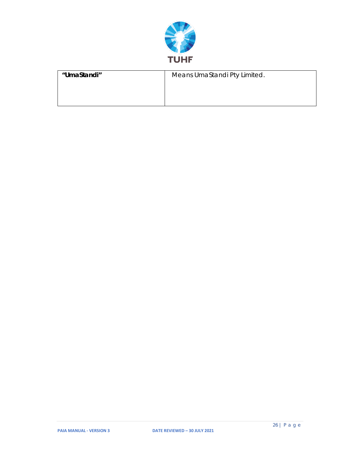

| "UmaStandi" | Means UmaStandi Pty Limited. |
|-------------|------------------------------|
|             |                              |
|             |                              |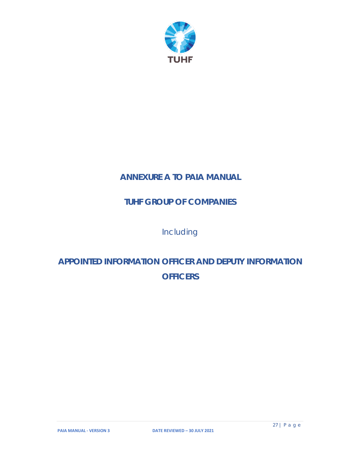

## **ANNEXURE A TO PAIA MANUAL**

## **TUHF GROUP OF COMPANIES**

Including

## **APPOINTED INFORMATION OFFICER AND DEPUTY INFORMATION OFFICERS**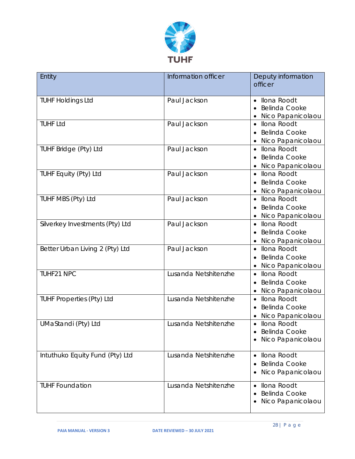

| Entity                          | Information officer  | Deputy information<br>officer                                              |
|---------------------------------|----------------------|----------------------------------------------------------------------------|
| <b>TUHF Holdings Ltd</b>        | Paul Jackson         | • Ilona Roodt<br><b>Belinda Cooke</b><br>Nico Papanicolaou                 |
| <b>TUHF Ltd</b>                 | Paul Jackson         | llona Roodt<br>$\bullet$<br><b>Belinda Cooke</b><br>Nico Papanicolaou      |
| TUHF Bridge (Pty) Ltd           | Paul Jackson         | • Ilona Roodt<br><b>Belinda Cooke</b><br>Nico Papanicolaou                 |
| TUHF Equity (Pty) Ltd           | Paul Jackson         | • Ilona Roodt<br><b>Belinda Cooke</b><br>Nico Papanicolaou                 |
| TUHF MBS (Pty) Ltd              | Paul Jackson         | • Ilona Roodt<br><b>Belinda Cooke</b><br>Nico Papanicolaou                 |
| Silverkey Investments (Pty) Ltd | Paul Jackson         | Ilona Roodt<br>$\bullet$<br><b>Belinda Cooke</b><br>Nico Papanicolaou      |
| Better Urban Living 2 (Pty) Ltd | Paul Jackson         | Ilona Roodt<br><b>Belinda Cooke</b><br>Nico Papanicolaou                   |
| TUHF21 NPC                      | Lusanda Netshitenzhe | • Ilona Roodt<br><b>Belinda Cooke</b><br>Nico Papanicolaou                 |
| TUHF Properties (Pty) Ltd       | Lusanda Netshitenzhe | • Ilona Roodt<br><b>Belinda Cooke</b><br>Nico Papanicolaou<br>$\bullet$    |
| UMaStandi (Pty) Ltd             | Lusanda Netshitenzhe | • Ilona Roodt<br><b>Belinda Cooke</b><br>Nico Papanicolaou                 |
| Intuthuko Equity Fund (Pty) Ltd | Lusanda Netshitenzhe | Ilona Roodt<br>$\bullet$<br><b>Belinda Cooke</b><br>Nico Papanicolaou      |
| <b>TUHF Foundation</b>          | Lusanda Netshitenzhe | Ilona Roodt<br>$\bullet$<br><b>Belinda Cooke</b><br>٠<br>Nico Papanicolaou |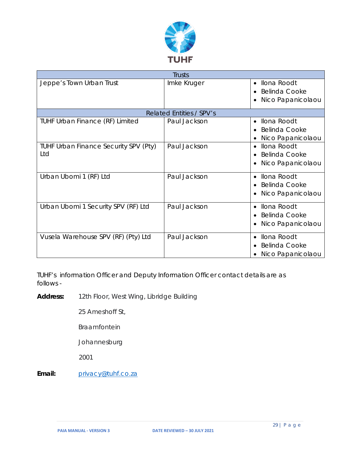

| <b>Trusts</b>                                |                                 |                                                                       |
|----------------------------------------------|---------------------------------|-----------------------------------------------------------------------|
| Jeppe's Town Urban Trust                     | Imke Kruger                     | Ilona Roodt<br>$\bullet$<br><b>Belinda Cooke</b><br>Nico Papanicolaou |
|                                              | <b>Related Entities / SPV's</b> |                                                                       |
| TUHF Urban Finance (RF) Limited              | Paul Jackson                    | Ilona Roodt<br>$\bullet$<br><b>Belinda Cooke</b><br>Nico Papanicolaou |
| TUHF Urban Finance Security SPV (Pty)<br>Ltd | Paul Jackson                    | • Ilona Roodt<br><b>Belinda Cooke</b><br>Nico Papanicolaou            |
| Urban Ubomi 1 (RF) Ltd                       | Paul Jackson                    | Ilona Roodt<br>$\bullet$<br><b>Belinda Cooke</b><br>Nico Papanicolaou |
| Urban Ubomi 1 Security SPV (RF) Ltd          | Paul Jackson                    | Ilona Roodt<br>$\bullet$<br><b>Belinda Cooke</b><br>Nico Papanicolaou |
| Vusela Warehouse SPV (RF) (Pty) Ltd          | Paul Jackson                    | Ilona Roodt<br><b>Belinda Cooke</b><br>Nico Papanicolaou              |

TUHF's information Officer and Deputy Information Officer contact details are as follows -

**Address:** 12th Floor, West Wing, Libridge Building

25 Ameshoff St,

Braamfontein

Johannesburg

2001

Email: [privacy@tuhf.co.za](mailto:privacy@tuhf.co.za)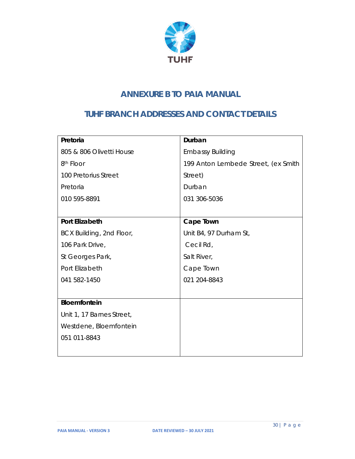

## **ANNEXURE B TO PAIA MANUAL**

## <span id="page-29-0"></span>**TUHF BRANCH ADDRESSES AND CONTACT DETAILS**

| Pretoria                  | Durban                              |
|---------------------------|-------------------------------------|
| 805 & 806 Olivetti House  | <b>Embassy Building</b>             |
| 8 <sup>th</sup> Floor     | 199 Anton Lembede Street, (ex Smith |
| 100 Pretorius Street      | Street)                             |
| Pretoria                  | Durban                              |
| 010 595-8891              | 031 306-5036                        |
|                           |                                     |
| <b>Port Elizabeth</b>     | Cape Town                           |
| BCX Building, 2nd Floor,  | Unit B4, 97 Durham St,              |
| 106 Park Drive,           | Cecil Rd,                           |
| St Georges Park,          | Salt River,                         |
| Port Elizabeth            | Cape Town                           |
| 041 582-1450              | 021 204-8843                        |
|                           |                                     |
| Bloemfontein              |                                     |
| Unit 1, 17 Barnes Street, |                                     |
| Westdene, Bloemfontein    |                                     |
| 051 011-8843              |                                     |
|                           |                                     |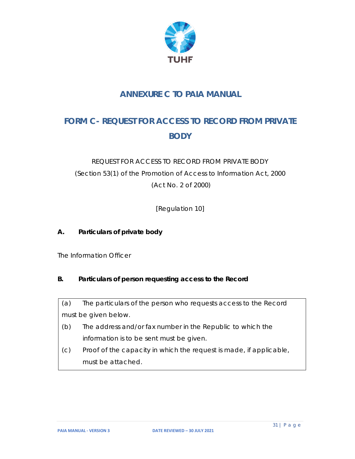

## **ANNEXURE C TO PAIA MANUAL**

## <span id="page-30-0"></span>**FORM C- REQUEST FOR ACCESS TO RECORD FROM PRIVATE BODY**

## REQUEST FOR ACCESS TO RECORD FROM PRIVATE BODY (Section 53(1) of the Promotion of Access to Information Act, 2000 (Act No. 2 of 2000)

[Regulation 10]

#### **A. Particulars of private body**

The Information Officer

#### **B. Particulars of person requesting access to the Record**

(a) The particulars of the person who requests access to the Record must be given below.

- (b) The address and/or fax number in the Republic to which the information is to be sent must be given.
- (c) Proof of the capacity in which the request is made, if applicable, must be attached.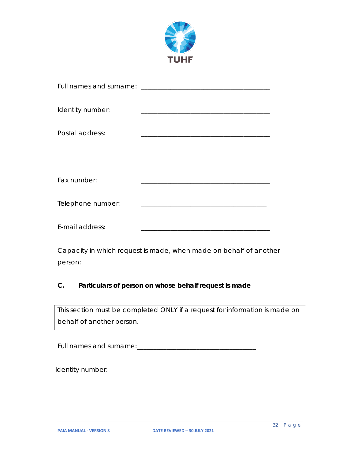

| Identity number:  |  |
|-------------------|--|
| Postal address:   |  |
|                   |  |
| Fax number:       |  |
| Telephone number: |  |
| E-mail address:   |  |

Capacity in which request is made, when made on behalf of another person:

#### **C. Particulars of person on whose behalf request is made**

This section must be completed *ONLY if* a request *for information is* made on behalf of *another* person.

Full names and surname:\_\_\_\_\_\_\_\_\_\_\_\_\_\_\_\_\_\_\_\_\_\_\_\_\_\_\_\_\_\_\_\_\_\_\_\_

Identity number: \_\_\_\_\_\_\_\_\_\_\_\_\_\_\_\_\_\_\_\_\_\_\_\_\_\_\_\_\_\_\_\_\_\_\_\_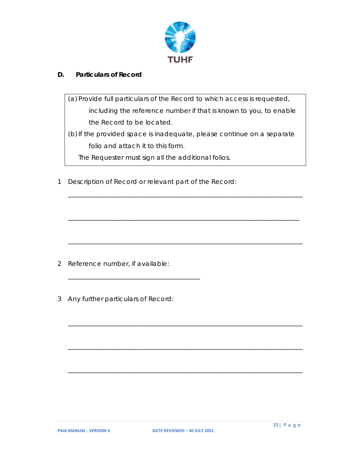

#### **D. Particulars of Record**

- (a) Provide full particulars of the Record to which access is requested, including the reference number if that is known to you, to enable the Record to be located.
- (b)If the provided space is inadequate, please continue on a separate folio and attach it to this form.

\_\_\_\_\_\_\_\_\_\_\_\_\_\_\_\_\_\_\_\_\_\_\_\_\_\_\_\_\_\_\_\_\_\_\_\_\_\_\_\_\_\_\_\_\_\_\_\_\_\_\_\_\_\_\_\_\_\_\_\_\_\_\_\_\_\_\_\_\_\_\_

\_\_\_\_\_\_\_\_\_\_\_\_\_\_\_\_\_\_\_\_\_\_\_\_\_\_\_\_\_\_\_\_\_\_\_\_\_\_\_\_\_\_\_\_\_\_\_\_\_\_\_\_\_\_\_\_\_\_\_\_\_\_\_\_\_\_\_\_\_\_

\_\_\_\_\_\_\_\_\_\_\_\_\_\_\_\_\_\_\_\_\_\_\_\_\_\_\_\_\_\_\_\_\_\_\_\_\_\_\_\_\_\_\_\_\_\_\_\_\_\_\_\_\_\_\_\_\_\_\_\_\_\_\_\_\_\_\_\_\_\_\_

\_\_\_\_\_\_\_\_\_\_\_\_\_\_\_\_\_\_\_\_\_\_\_\_\_\_\_\_\_\_\_\_\_\_\_\_\_\_\_\_\_\_\_\_\_\_\_\_\_\_\_\_\_\_\_\_\_\_\_\_\_\_\_\_\_\_\_\_\_\_\_

\_\_\_\_\_\_\_\_\_\_\_\_\_\_\_\_\_\_\_\_\_\_\_\_\_\_\_\_\_\_\_\_\_\_\_\_\_\_\_\_\_\_\_\_\_\_\_\_\_\_\_\_\_\_\_\_\_\_\_\_\_\_\_\_\_\_\_\_\_\_\_

\_\_\_\_\_\_\_\_\_\_\_\_\_\_\_\_\_\_\_\_\_\_\_\_\_\_\_\_\_\_\_\_\_\_\_\_\_\_\_\_\_\_\_\_\_\_\_\_\_\_\_\_\_\_\_\_\_\_\_\_\_\_\_\_\_\_\_\_\_\_\_

The Requester must sign all the additional folios.

1 Description of Record or relevant part of the Record:

2 Reference number, if available:

\_\_\_\_\_\_\_\_\_\_\_\_\_\_\_\_\_\_\_\_\_\_\_\_\_\_\_\_\_\_\_\_\_\_\_\_\_\_\_\_

3 Any further particulars of Record: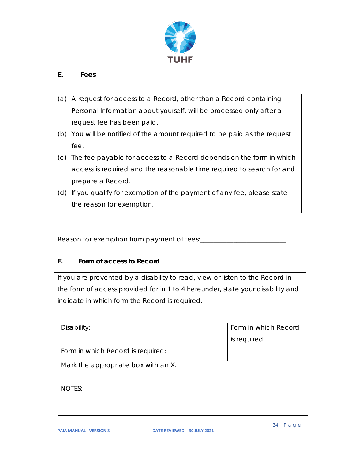

#### **E. Fees**

- (a) A request for access to a Record, other *than* a Record containing Personal Information about yourself, will be processed only after a request fee has been paid.
- (b) You will be *notified of* the amount required to be paid as the request fee.
- (c) The fee payable for access to a Record depends *on* the form *in which*  access is required and the reasonable time *required* to search for and prepare a Record.
- (d) If you qualify for exemption *of* the payment *of* any fee, please state the reason for exemption.

Reason for exemption from payment of fees:

#### **F. Form of access to Record**

If you are prevented by a disability to read, view or listen to the Record in the form of access provided for in 1 to 4 hereunder, state your disability and indicate in which form the Record is required.

| Disability:                         | Form in which Record |
|-------------------------------------|----------------------|
|                                     |                      |
|                                     | is required          |
|                                     |                      |
| Form in which Record is required:   |                      |
|                                     |                      |
| Mark the appropriate box with an X. |                      |
|                                     |                      |
|                                     |                      |
| NOTES:                              |                      |
|                                     |                      |
|                                     |                      |
|                                     |                      |
|                                     |                      |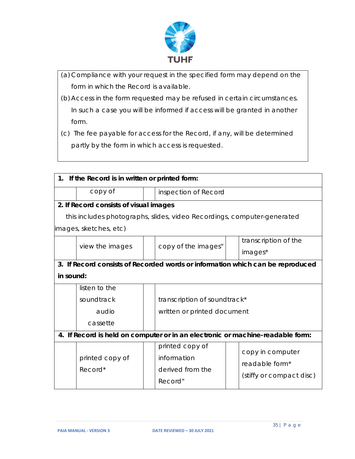

- (a) Compliance with your request in the specified form may depend on the form in which the Record is available.
- (b) Access in the form requested may be refused in certain circumstances. In such a case you will be informed if access will be granted in another form.
- (c) The fee payable for access for the Record, if any, will be determined partly by the form in which access is requested.

| 1. If the Record is in written or printed form:                                |                 |  |                              |                      |                            |  |  |  |
|--------------------------------------------------------------------------------|-----------------|--|------------------------------|----------------------|----------------------------|--|--|--|
|                                                                                | copy of         |  | inspection of Record         |                      |                            |  |  |  |
| 2. If Record consists of visual images                                         |                 |  |                              |                      |                            |  |  |  |
| this includes photographs, slides, video Recordings, computer-generated        |                 |  |                              |                      |                            |  |  |  |
| images, sketches, etc)                                                         |                 |  |                              |                      |                            |  |  |  |
|                                                                                | view the images |  |                              | transcription of the |                            |  |  |  |
|                                                                                |                 |  | copy of the images"          |                      | images*                    |  |  |  |
| 3. If Record consists of Recorded words or information which can be reproduced |                 |  |                              |                      |                            |  |  |  |
| in sound:                                                                      |                 |  |                              |                      |                            |  |  |  |
|                                                                                | listen to the   |  |                              |                      |                            |  |  |  |
|                                                                                | soundtrack      |  | transcription of soundtrack* |                      |                            |  |  |  |
|                                                                                | audio           |  | written or printed document  |                      |                            |  |  |  |
|                                                                                | cassette        |  |                              |                      |                            |  |  |  |
| 4. If Record is held on computer or in an electronic or machine-readable form: |                 |  |                              |                      |                            |  |  |  |
|                                                                                |                 |  | printed copy of              |                      | copy in computer           |  |  |  |
|                                                                                | printed copy of |  | information                  |                      | readable form <sup>*</sup> |  |  |  |
|                                                                                | Record*         |  | derived from the             |                      |                            |  |  |  |
|                                                                                |                 |  | Record"                      |                      | (stiffy or compact disc)   |  |  |  |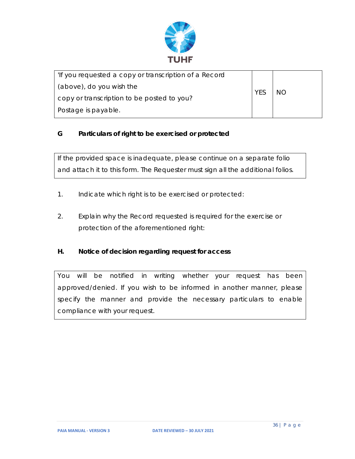

| 'If you requested a copy or transcription of a Record |            |           |
|-------------------------------------------------------|------------|-----------|
| (above), do you wish the                              | <b>YES</b> | <b>NO</b> |
| copy or transcription to be posted to you?            |            |           |
| Postage is payable.                                   |            |           |

#### **G Particulars of right to be exercised or protected**

If the provided space is inadequate, please continue on a separate folio and attach it to this form. The Requester must sign all the additional folios.

- 1. Indicate which right is to be exercised or protected:
- 2. Explain why the Record requested is required for the exercise or protection of the aforementioned right:

#### **H. Notice of decision regarding request for access**

You will be notified in writing whether your request has been approved/denied. If you wish to be informed in another manner, please specify the manner and provide the necessary particulars to enable compliance with your request.